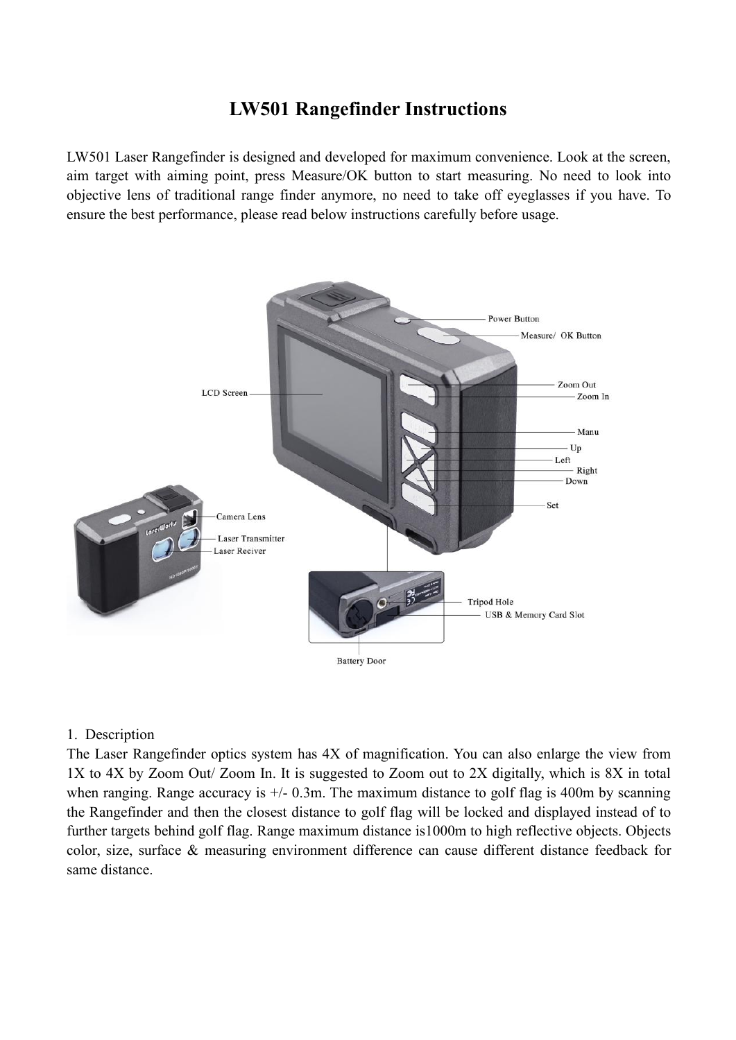# **LW501 Rangefinder Instructions**

LW501 Laser Rangefinder is designed and developed for maximum convenience. Look at the screen, aim target with aiming point, press Measure/OK button tostart measuring. No need to look into objective lens of traditional range finder anymore, no need to take off eyeglasses if you have. To ensure the best performance, please read below instructions carefully before usage.



#### 1. Description

The Laser Rangefinder optics system has 4X of magnification. You can also enlarge the view from 1X to 4X by Zoom Out/ Zoom In. It is suggested to Zoom out to 2X digitally, which is 8X in total when ranging. Range accuracy is  $\pm/2$  0.3m. The maximum distance to golf flag is 400m by scanning the Rangefinder and then the closest distance to golf flag will be locked and displayed instead of to further targets behind golf flag. Range maximum distance is1000m to high reflective objects. Objects color, size, surface & measuring environment difference can cause different distance feedback for same distance.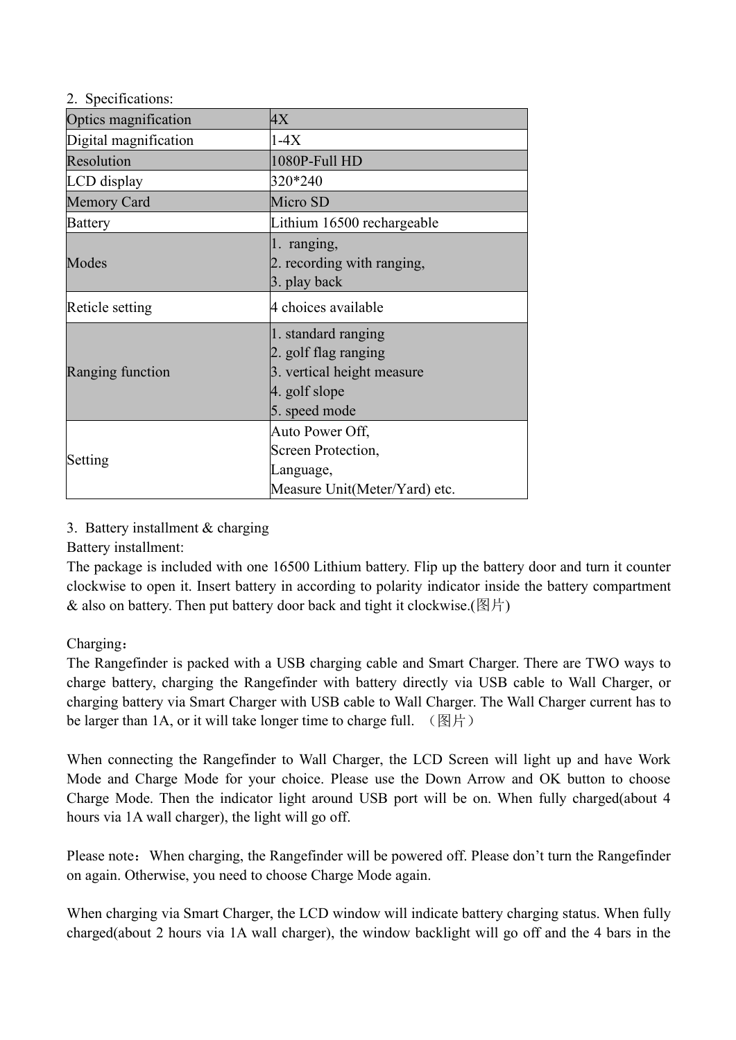### 2. Specifications:

| Optics magnification  | 4X                            |
|-----------------------|-------------------------------|
| Digital magnification | $1-4X$                        |
| Resolution            | 1080P-Full HD                 |
| LCD display           | 320*240                       |
| <b>Memory Card</b>    | Micro SD                      |
| Battery               | Lithium 16500 rechargeable    |
|                       | 1. ranging,                   |
| Modes                 | 2. recording with ranging,    |
|                       | 3. play back                  |
| Reticle setting       | 4 choices available           |
|                       | 1. standard ranging           |
|                       | 2. golf flag ranging          |
| Ranging function      | 3. vertical height measure    |
|                       | 4. golf slope                 |
|                       | 5. speed mode                 |
| Setting               | Auto Power Off,               |
|                       | Screen Protection,            |
|                       | Language,                     |
|                       | Measure Unit(Meter/Yard) etc. |

### 3. Battery installment & charging

Battery installment:

The package is included with one 16500 Lithium battery. Flip up the battery door and turn it counter clockwise to open it. Insert battery in according to polarity indicator inside the battery compartment & also on battery. Then put battery door back and tight it clockwise.(图片)

### Charging:

The Rangefinder is packed with a USB charging cable and Smart Charger. There are TWO ways to charge battery, charging the Rangefinder with battery directly via USB cable to Wall Charger, or charging battery via Smart Charger with USB cable to Wall Charger. The Wall Charger current has to be larger than 1A, or it will take longer time to charge full.  $(\mathbb{S} \nmid \cdot)$ 

When connecting the Rangefinder to Wall Charger, the LCD Screen will light up and have Work Mode and Charge Mode for your choice. Please use the Down Arrow and OK button to choose Charge Mode. Then the indicator light around USB port will be on. When fully charged(about 4 hours via 1A wall charger), the light will go off.

Please note: When charging, the Rangefinder will be powered off. Please don't turn the Rangefinder on again. Otherwise, you need to choose Charge Mode again.

When charging via Smart Charger, the LCD window will indicate battery charging status. When fully charged(about 2 hours via 1A wall charger), the window backlight will go off and the 4 bars in the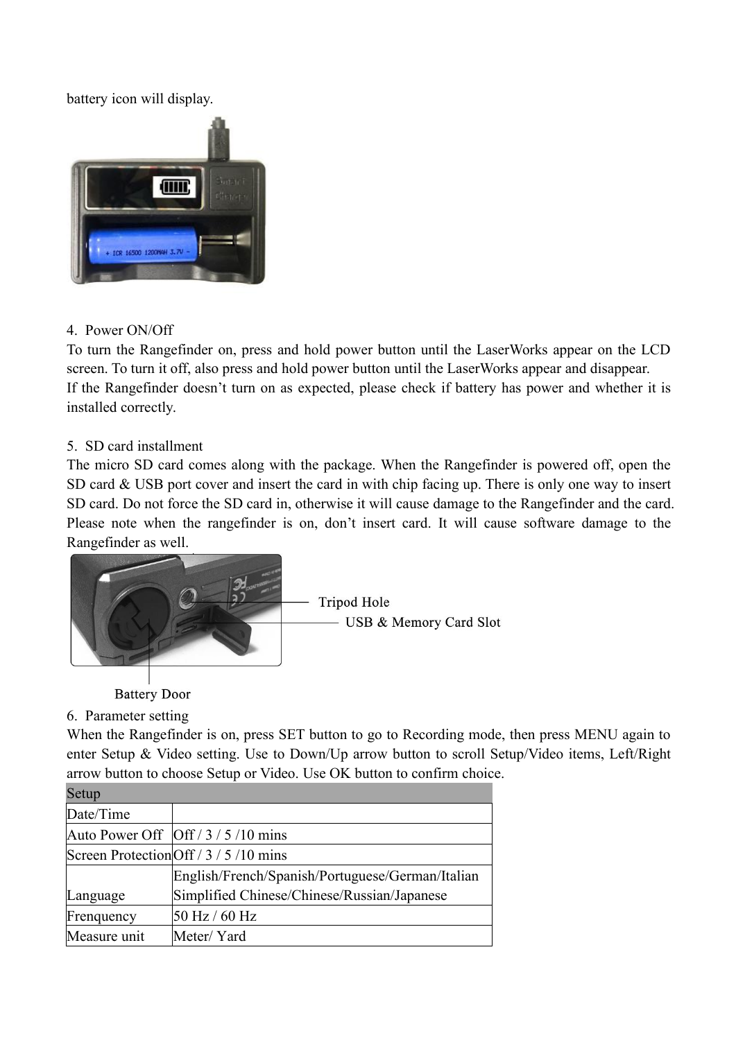battery icon will display.



### 4. Power ON/Off

To turn the Rangefinder on, press and hold power button until the LaserWorks appear on the LCD screen. To turn it off, also press and hold power button until the LaserWorks appear and disappear. If the Rangefinder doesn't turn on as expected, please check if battery has power and whether it is installed correctly.

### 5. SD card installment

The micro SD card comes along with the package. When the Rangefinder is powered off, open the SD card & USB port cover and insert the card in with chip facing up. There is only one way to insert SD card. Do not force the SD card in, otherwise it will cause damage to the Rangefinder and the card. Please note when the rangefinder is on, don't insert card. It will cause software damage to the Rangefinder as well.



**Tripod Hole** - USB & Memory Card Slot

### **Battery Door**

### 6. Parameter setting

When the Rangefinder is on, press SET button to go to Recording mode, then press MENU again to enter Setup & Video setting. Use to Down/Up arrow button to scroll Setup/Video items, Left/Right arrow button to choose Setup or Video. Use OK button to confirm choice.

| Setup        |                                                              |
|--------------|--------------------------------------------------------------|
| Date/Time    |                                                              |
|              | Auto Power Off $\left  \text{Off} / 3 / 5 / 10 \right $ mins |
|              | Screen Protection Off / 3 / 5 / 10 mins                      |
|              | English/French/Spanish/Portuguese/German/Italian             |
| Language     | Simplified Chinese/Chinese/Russian/Japanese                  |
| Frenquency   | 50 Hz / 60 Hz                                                |
| Measure unit | Meter/Yard                                                   |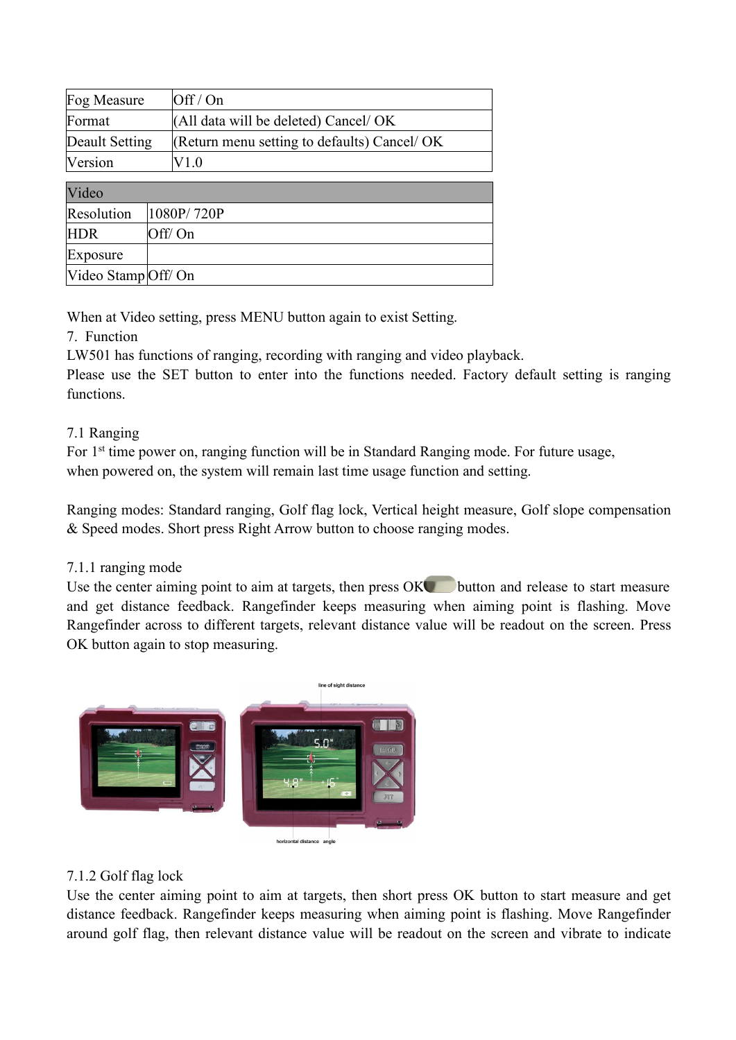| Fog Measure    | $\vert$ Off / On                               |  |
|----------------|------------------------------------------------|--|
| Format         | $(A)$ l data will be deleted) Cancel/ OK       |  |
| Deault Setting | (Return menu setting to defaults) Cancel/ $OK$ |  |
| Version        | V1.0                                           |  |
| Video          |                                                |  |
| Resolution     | 1080P/720P                                     |  |
| <b>HDR</b>     | $\bigcap \mathrm{ff}/\bigcap \mathrm{n}$       |  |

| ---                 | NU VII |
|---------------------|--------|
| Exposure            |        |
| Video Stamp Off/ On |        |

When at Video setting, press MENU button again to exist Setting.

7. Function

LW501 has functions of ranging, recording with ranging and video playback.

Please use the SET button to enter into the functions needed. Factory default setting is ranging functions.

## 7.1 Ranging

For 1<sup>st</sup> time power on, ranging function will be in Standard Ranging mode. For future usage, when powered on, the system will remain last time usage function and setting.

Ranging modes: Standard ranging, Golf flag lock, Vertical height measure, Golf slope compensation & Speed modes. Short press Right Arrow button to choose ranging modes.

### 7.1.1 ranging mode

Use the center aiming point to aim at targets, then press  $OK$  button and release to start measure and get distance feedback. Rangefinder keeps measuring when aiming point is flashing. Move Rangefinder across to different targets, relevant distance value will be readout on the screen. Press OK button again to stop measuring.



### 7.1.2 Golf flag lock

Use the center aiming point to aim at targets, then short press OK button to start measure and get distance feedback. Rangefinder keeps measuring when aiming point is flashing. Move Rangefinder around golf flag, then relevant distance value will be readout on the screen and vibrate to indicate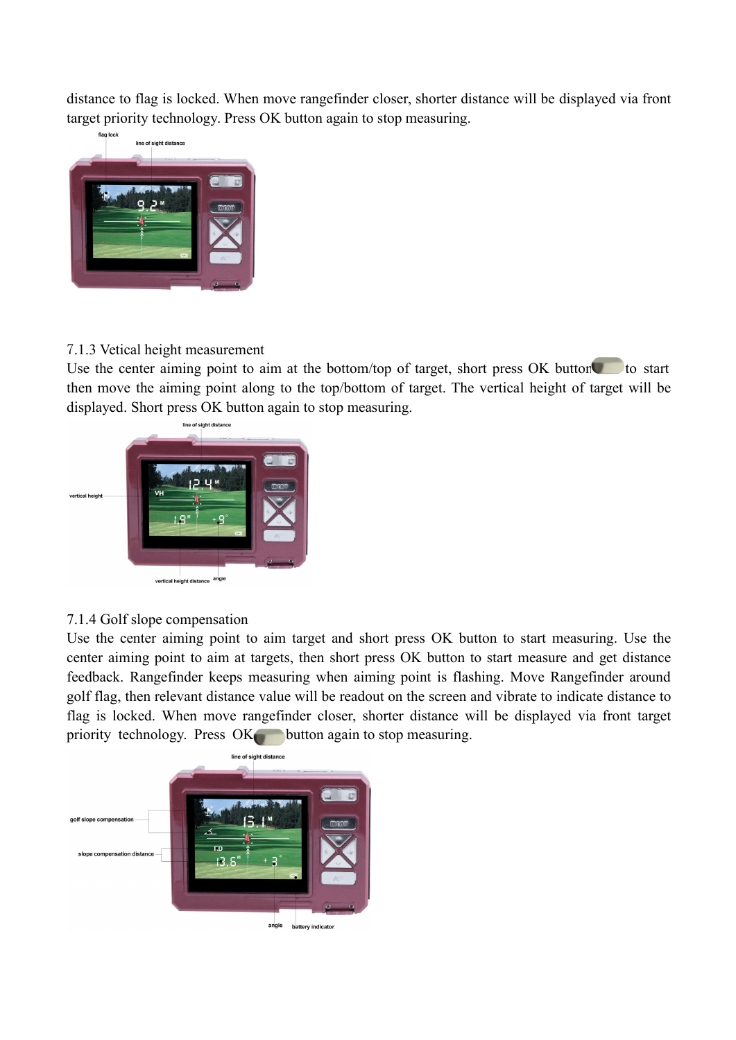distance to flag is locked. When move rangefinder closer, shorter distance will be displayed via front target priority technology. Press OK button again to stop measuring.



### 7.1.3 Vetical height measurement

Use the center aiming point to aim at the bottom/top of target, short press OK button to start then move the aiming point along to the top/bottom of target. The vertical height of target will be displayed. Short press OK button again to stop measuring.



### 7.1.4 Golf slope compensation

Use the center aiming point to aim target and short press OK button to start measuring. Use the center aiming point to aim at targets, then short press OK button to start measure and get distance feedback. Rangefinder keeps measuring when aiming point is flashing. Move Rangefinder around golf flag, then relevant distance value will be readout on the screen and vibrate to indicate distance to flag is locked. When move rangefinder closer, shorter distance will be displayed via front target priority technology. Press OK button again to stop measuring.